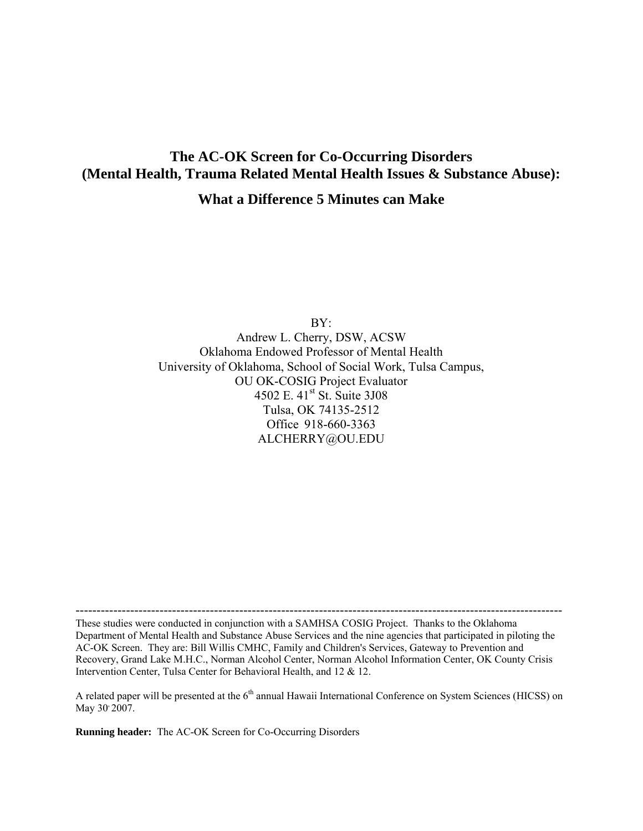# **The AC-OK Screen for Co-Occurring Disorders (Mental Health, Trauma Related Mental Health Issues & Substance Abuse):**

# **What a Difference 5 Minutes can Make**

BY: Andrew L. Cherry, DSW, ACSW Oklahoma Endowed Professor of Mental Health University of Oklahoma, School of Social Work, Tulsa Campus, OU OK-COSIG Project Evaluator 4502 E. 41st St. Suite 3J08 Tulsa, OK 74135-2512 Office 918-660-3363 ALCHERRY@OU.EDU

These studies were conducted in conjunction with a SAMHSA COSIG Project. Thanks to the Oklahoma Department of Mental Health and Substance Abuse Services and the nine agencies that participated in piloting the AC-OK Screen. They are: Bill Willis CMHC, Family and Children's Services, Gateway to Prevention and Recovery, Grand Lake M.H.C., Norman Alcohol Center, Norman Alcohol Information Center, OK County Crisis Intervention Center, Tulsa Center for Behavioral Health, and 12 & 12.

A related paper will be presented at the 6<sup>th</sup> annual Hawaii International Conference on System Sciences (HICSS) on May 30<sup>,</sup> 2007.

**Running header:** The AC-OK Screen for Co-Occurring Disorders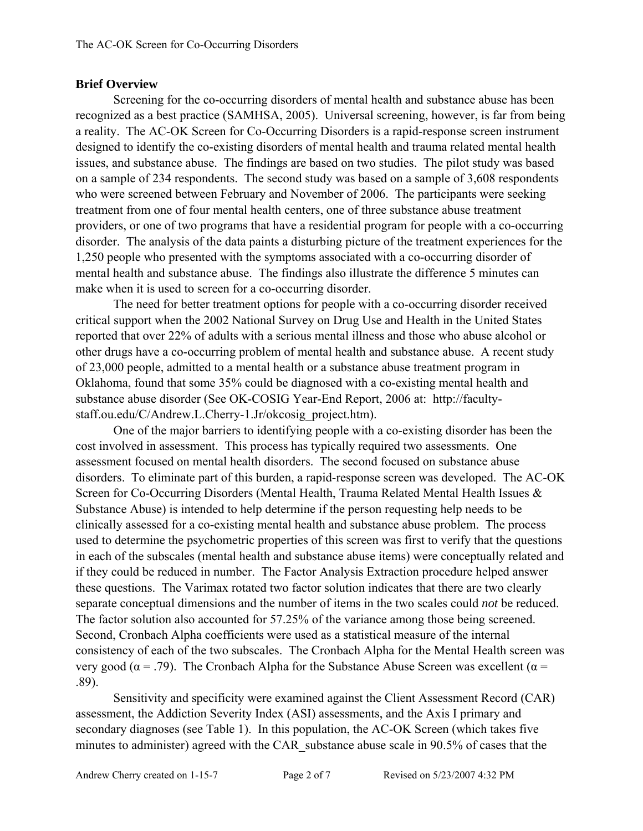# **Brief Overview**

Screening for the co-occurring disorders of mental health and substance abuse has been recognized as a best practice (SAMHSA, 2005). Universal screening, however, is far from being a reality. The AC-OK Screen for Co-Occurring Disorders is a rapid-response screen instrument designed to identify the co-existing disorders of mental health and trauma related mental health issues, and substance abuse. The findings are based on two studies. The pilot study was based on a sample of 234 respondents. The second study was based on a sample of 3,608 respondents who were screened between February and November of 2006. The participants were seeking treatment from one of four mental health centers, one of three substance abuse treatment providers, or one of two programs that have a residential program for people with a co-occurring disorder. The analysis of the data paints a disturbing picture of the treatment experiences for the 1,250 people who presented with the symptoms associated with a co-occurring disorder of mental health and substance abuse. The findings also illustrate the difference 5 minutes can make when it is used to screen for a co-occurring disorder.

The need for better treatment options for people with a co-occurring disorder received critical support when the 2002 National Survey on Drug Use and Health in the United States reported that over 22% of adults with a serious mental illness and those who abuse alcohol or other drugs have a co-occurring problem of mental health and substance abuse. A recent study of 23,000 people, admitted to a mental health or a substance abuse treatment program in Oklahoma, found that some 35% could be diagnosed with a co-existing mental health and substance abuse disorder (See OK-COSIG Year-End Report, 2006 at: http://facultystaff.ou.edu/C/Andrew.L.Cherry-1.Jr/okcosig\_project.htm).

One of the major barriers to identifying people with a co-existing disorder has been the cost involved in assessment. This process has typically required two assessments. One assessment focused on mental health disorders. The second focused on substance abuse disorders. To eliminate part of this burden, a rapid-response screen was developed. The AC-OK Screen for Co-Occurring Disorders (Mental Health, Trauma Related Mental Health Issues & Substance Abuse) is intended to help determine if the person requesting help needs to be clinically assessed for a co-existing mental health and substance abuse problem. The process used to determine the psychometric properties of this screen was first to verify that the questions in each of the subscales (mental health and substance abuse items) were conceptually related and if they could be reduced in number. The Factor Analysis Extraction procedure helped answer these questions. The Varimax rotated two factor solution indicates that there are two clearly separate conceptual dimensions and the number of items in the two scales could *not* be reduced. The factor solution also accounted for 57.25% of the variance among those being screened. Second, Cronbach Alpha coefficients were used as a statistical measure of the internal consistency of each of the two subscales. The Cronbach Alpha for the Mental Health screen was very good ( $\alpha$  = .79). The Cronbach Alpha for the Substance Abuse Screen was excellent ( $\alpha$  = .89).

Sensitivity and specificity were examined against the Client Assessment Record (CAR) assessment, the Addiction Severity Index (ASI) assessments, and the Axis I primary and secondary diagnoses (see Table 1). In this population, the AC-OK Screen (which takes five minutes to administer) agreed with the CAR\_substance abuse scale in 90.5% of cases that the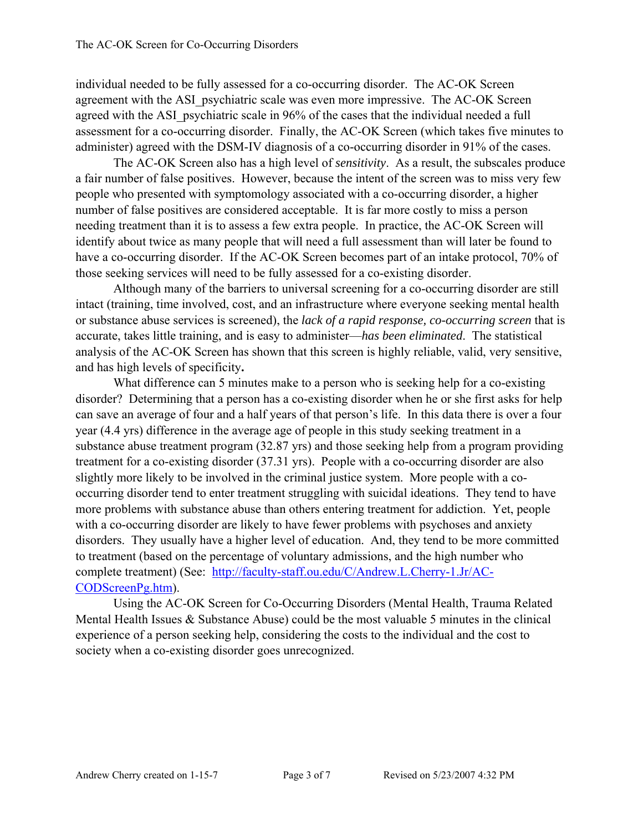individual needed to be fully assessed for a co-occurring disorder. The AC-OK Screen agreement with the ASI\_psychiatric scale was even more impressive. The AC-OK Screen agreed with the ASI psychiatric scale in 96% of the cases that the individual needed a full assessment for a co-occurring disorder. Finally, the AC-OK Screen (which takes five minutes to administer) agreed with the DSM-IV diagnosis of a co-occurring disorder in 91% of the cases.

The AC-OK Screen also has a high level of *sensitivity*.As a result, the subscales produce a fair number of false positives. However, because the intent of the screen was to miss very few people who presented with symptomology associated with a co-occurring disorder, a higher number of false positives are considered acceptable. It is far more costly to miss a person needing treatment than it is to assess a few extra people. In practice, the AC-OK Screen will identify about twice as many people that will need a full assessment than will later be found to have a co-occurring disorder. If the AC-OK Screen becomes part of an intake protocol, 70% of those seeking services will need to be fully assessed for a co-existing disorder.

Although many of the barriers to universal screening for a co-occurring disorder are still intact (training, time involved, cost, and an infrastructure where everyone seeking mental health or substance abuse services is screened), the *lack of a rapid response, co-occurring screen* that is accurate, takes little training, and is easy to administer—*has been eliminated*. The statistical analysis of the AC-OK Screen has shown that this screen is highly reliable, valid, very sensitive, and has high levels of specificity**.**

What difference can 5 minutes make to a person who is seeking help for a co-existing disorder? Determining that a person has a co-existing disorder when he or she first asks for help can save an average of four and a half years of that person's life. In this data there is over a four year (4.4 yrs) difference in the average age of people in this study seeking treatment in a substance abuse treatment program (32.87 yrs) and those seeking help from a program providing treatment for a co-existing disorder (37.31 yrs). People with a co-occurring disorder are also slightly more likely to be involved in the criminal justice system. More people with a cooccurring disorder tend to enter treatment struggling with suicidal ideations. They tend to have more problems with substance abuse than others entering treatment for addiction. Yet, people with a co-occurring disorder are likely to have fewer problems with psychoses and anxiety disorders. They usually have a higher level of education. And, they tend to be more committed to treatment (based on the percentage of voluntary admissions, and the high number who complete treatment) (See: http://faculty-staff.ou.edu/C/Andrew.L.Cherry-1.Jr/AC-CODScreenPg.htm).

Using the AC-OK Screen for Co-Occurring Disorders (Mental Health, Trauma Related Mental Health Issues & Substance Abuse) could be the most valuable 5 minutes in the clinical experience of a person seeking help, considering the costs to the individual and the cost to society when a co-existing disorder goes unrecognized.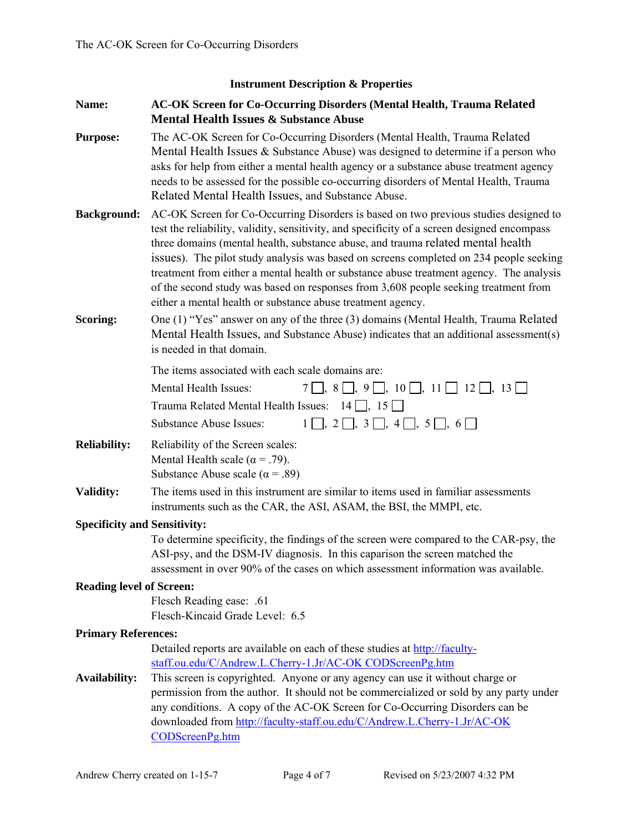#### **Instrument Description & Properties**

- **Name: AC-OK Screen for Co-Occurring Disorders (Mental Health, Trauma Related Mental Health Issues & Substance Abuse**
- **Purpose:** The AC-OK Screen for Co-Occurring Disorders (Mental Health, Trauma Related Mental Health Issues & Substance Abuse) was designed to determine if a person who asks for help from either a mental health agency or a substance abuse treatment agency needs to be assessed for the possible co-occurring disorders of Mental Health, Trauma Related Mental Health Issues, and Substance Abuse.
- **Background:** AC-OK Screen for Co-Occurring Disorders is based on two previous studies designed to test the reliability, validity, sensitivity, and specificity of a screen designed encompass three domains (mental health, substance abuse, and trauma related mental health issues). The pilot study analysis was based on screens completed on 234 people seeking treatment from either a mental health or substance abuse treatment agency. The analysis of the second study was based on responses from 3,608 people seeking treatment from either a mental health or substance abuse treatment agency.
- **Scoring:** One (1) "Yes" answer on any of the three (3) domains (Mental Health, Trauma Related Mental Health Issues, and Substance Abuse) indicates that an additional assessment(s) is needed in that domain.
	- The items associated with each scale domains are:

| Mental Health Issues:                                                        | $7\Box$ , $8\Box$ , $9\Box$ , $10\Box$ , $11\Box$ $12\Box$ , $13\Box$ |
|------------------------------------------------------------------------------|-----------------------------------------------------------------------|
| Trauma Related Mental Health Issues: $14 \n\begin{bmatrix} 15 \end{bmatrix}$ |                                                                       |
| Substance Abuse Issues:                                                      | $1$ , $2$ , $3$ , $4$ , $5$ , $6$                                     |

- **Reliability:** Reliability of the Screen scales: Mental Health scale ( $\alpha$  = .79). Substance Abuse scale ( $\alpha$  = .89)
- **Validity:** The items used in this instrument are similar to items used in familiar assessments instruments such as the CAR, the ASI, ASAM, the BSI, the MMPI, etc.

#### **Specificity and Sensitivity:**

 To determine specificity, the findings of the screen were compared to the CAR-psy, the ASI-psy, and the DSM-IV diagnosis. In this caparison the screen matched the assessment in over 90% of the cases on which assessment information was available.

#### **Reading level of Screen:**

Flesch Reading ease: .61 Flesch-Kincaid Grade Level: 6.5

#### **Primary References:**

 Detailed reports are available on each of these studies at http://facultystaff.ou.edu/C/Andrew.L.Cherry-1.Jr/AC-OK CODScreenPg.htm

**Availability:** This screen is copyrighted. Anyone or any agency can use it without charge or permission from the author. It should not be commercialized or sold by any party under any conditions. A copy of the AC-OK Screen for Co-Occurring Disorders can be downloaded from http://faculty-staff.ou.edu/C/Andrew.L.Cherry-1.Jr/AC-OK CODScreenPg.htm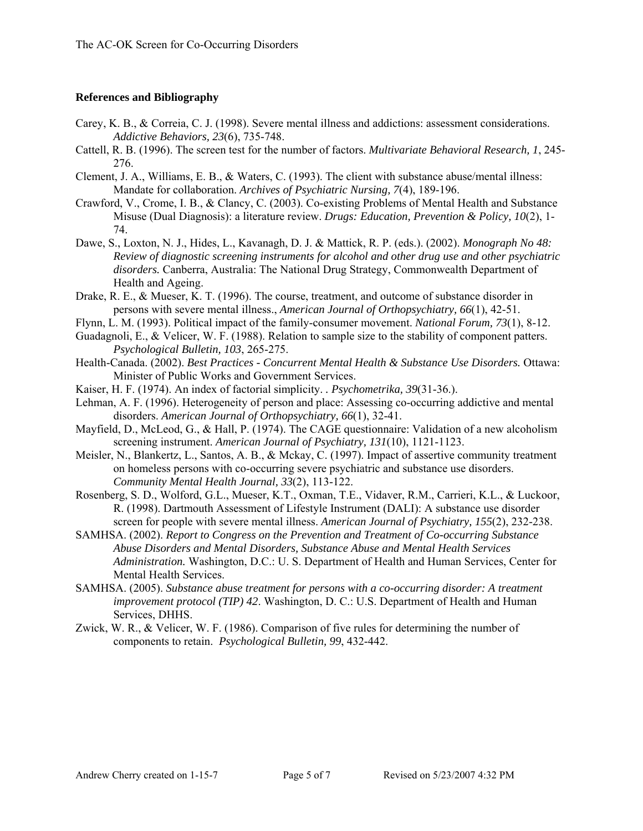#### **References and Bibliography**

- Carey, K. B., & Correia, C. J. (1998). Severe mental illness and addictions: assessment considerations. *Addictive Behaviors, 23*(6), 735-748.
- Cattell, R. B. (1996). The screen test for the number of factors. *Multivariate Behavioral Research, 1*, 245- 276.
- Clement, J. A., Williams, E. B., & Waters, C. (1993). The client with substance abuse/mental illness: Mandate for collaboration. *Archives of Psychiatric Nursing, 7*(4), 189-196.
- Crawford, V., Crome, I. B., & Clancy, C. (2003). Co-existing Problems of Mental Health and Substance Misuse (Dual Diagnosis): a literature review. *Drugs: Education, Prevention & Policy, 10*(2), 1- 74.
- Dawe, S., Loxton, N. J., Hides, L., Kavanagh, D. J. & Mattick, R. P. (eds.). (2002). *Monograph No 48: Review of diagnostic screening instruments for alcohol and other drug use and other psychiatric disorders.* Canberra, Australia: The National Drug Strategy, Commonwealth Department of Health and Ageing.
- Drake, R. E., & Mueser, K. T. (1996). The course, treatment, and outcome of substance disorder in persons with severe mental illness., *American Journal of Orthopsychiatry, 66*(1), 42-51.
- Flynn, L. M. (1993). Political impact of the family-consumer movement. *National Forum, 73*(1), 8-12.
- Guadagnoli, E., & Velicer, W. F. (1988). Relation to sample size to the stability of component patters. *Psychological Bulletin, 103*, 265-275.
- Health-Canada. (2002). *Best Practices Concurrent Mental Health & Substance Use Disorders.* Ottawa: Minister of Public Works and Government Services.
- Kaiser, H. F. (1974). An index of factorial simplicity. *. Psychometrika, 39*(31-36.).
- Lehman, A. F. (1996). Heterogeneity of person and place: Assessing co-occurring addictive and mental disorders. *American Journal of Orthopsychiatry, 66*(1), 32-41.
- Mayfield, D., McLeod, G., & Hall, P. (1974). The CAGE questionnaire: Validation of a new alcoholism screening instrument. *American Journal of Psychiatry, 131*(10), 1121-1123.
- Meisler, N., Blankertz, L., Santos, A. B., & Mckay, C. (1997). Impact of assertive community treatment on homeless persons with co-occurring severe psychiatric and substance use disorders. *Community Mental Health Journal, 33*(2), 113-122.
- Rosenberg, S. D., Wolford, G.L., Mueser, K.T., Oxman, T.E., Vidaver, R.M., Carrieri, K.L., & Luckoor, R. (1998). Dartmouth Assessment of Lifestyle Instrument (DALI): A substance use disorder screen for people with severe mental illness. *American Journal of Psychiatry, 155*(2), 232-238.
- SAMHSA. (2002). *Report to Congress on the Prevention and Treatment of Co-occurring Substance Abuse Disorders and Mental Disorders, Substance Abuse and Mental Health Services Administration.* Washington, D.C.: U. S. Department of Health and Human Services, Center for Mental Health Services.
- SAMHSA. (2005). *Substance abuse treatment for persons with a co-occurring disorder: A treatment improvement protocol (TIP) 42*. Washington, D. C.: U.S. Department of Health and Human Services, DHHS.
- Zwick, W. R., & Velicer, W. F. (1986). Comparison of five rules for determining the number of components to retain. *Psychological Bulletin, 99*, 432-442.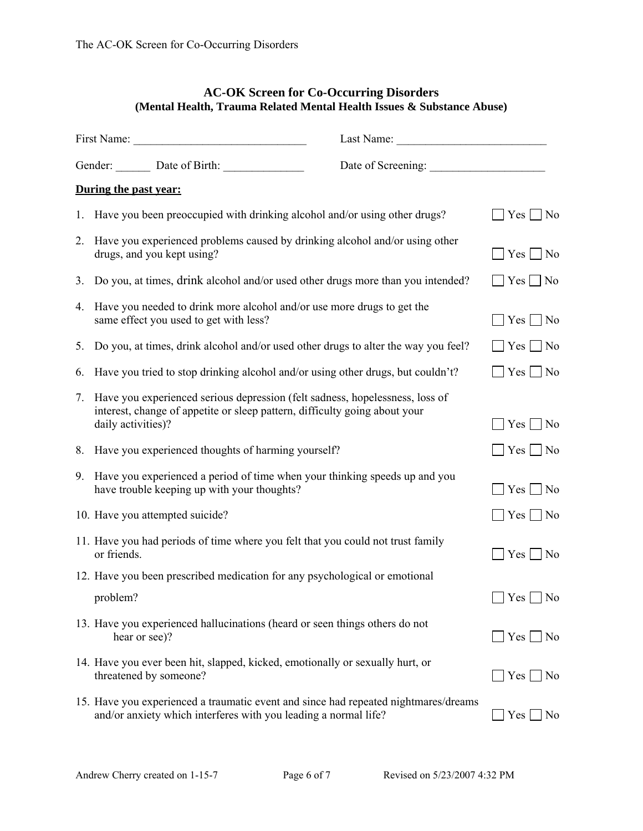## **AC-OK Screen for Co-Occurring Disorders (Mental Health, Trauma Related Mental Health Issues & Substance Abuse)**

|    | During the past year:                                                                                                                                                            |                            |
|----|----------------------------------------------------------------------------------------------------------------------------------------------------------------------------------|----------------------------|
|    | 1. Have you been preoccupied with drinking alcohol and/or using other drugs?                                                                                                     | $Yes$ No                   |
| 2. | Have you experienced problems caused by drinking alcohol and/or using other<br>drugs, and you kept using?                                                                        | $\exists$ Yes $\Box$ No    |
| 3. | Do you, at times, drink alcohol and/or used other drugs more than you intended?                                                                                                  | $\Box$ Yes $\Box$ No       |
|    | 4. Have you needed to drink more alcohol and/or use more drugs to get the<br>same effect you used to get with less?                                                              | $Yes \tNo$                 |
| 5. | Do you, at times, drink alcohol and/or used other drugs to alter the way you feel?                                                                                               | $\Box$ Yes $\Box$ No       |
| 6. | Have you tried to stop drinking alcohol and/or using other drugs, but couldn't?                                                                                                  | $\Box$ Yes $\Box$ No       |
| 7. | Have you experienced serious depression (felt sadness, hopelessness, loss of<br>interest, change of appetite or sleep pattern, difficulty going about your<br>daily activities)? | $\Box$ Yes $\Box$ No       |
| 8. | Have you experienced thoughts of harming yourself?                                                                                                                               | $\Box$ Yes $\Box$ No       |
| 9. | Have you experienced a period of time when your thinking speeds up and you<br>have trouble keeping up with your thoughts?                                                        | $\Box$ Yes $\Box$ No       |
|    | 10. Have you attempted suicide?                                                                                                                                                  | $\Box$ Yes $\Box$ No       |
|    | 11. Have you had periods of time where you felt that you could not trust family<br>or friends.                                                                                   | $\bigcap$ Yes $\bigcap$ No |
|    | 12. Have you been prescribed medication for any psychological or emotional                                                                                                       |                            |
|    | problem?                                                                                                                                                                         | $\Box$ Yes $\Box$ No       |
|    | 13. Have you experienced hallucinations (heard or seen things others do not<br>hear or see)?                                                                                     | $\Box$ Yes $\Box$ No       |
|    | 14. Have you ever been hit, slapped, kicked, emotionally or sexually hurt, or<br>threatened by someone?                                                                          | $\bigcap$ Yes $\bigcap$ No |
|    | 15. Have you experienced a traumatic event and since had repeated nightmares/dreams<br>and/or anxiety which interferes with you leading a normal life?                           | Yes  <br>N <sub>o</sub>    |